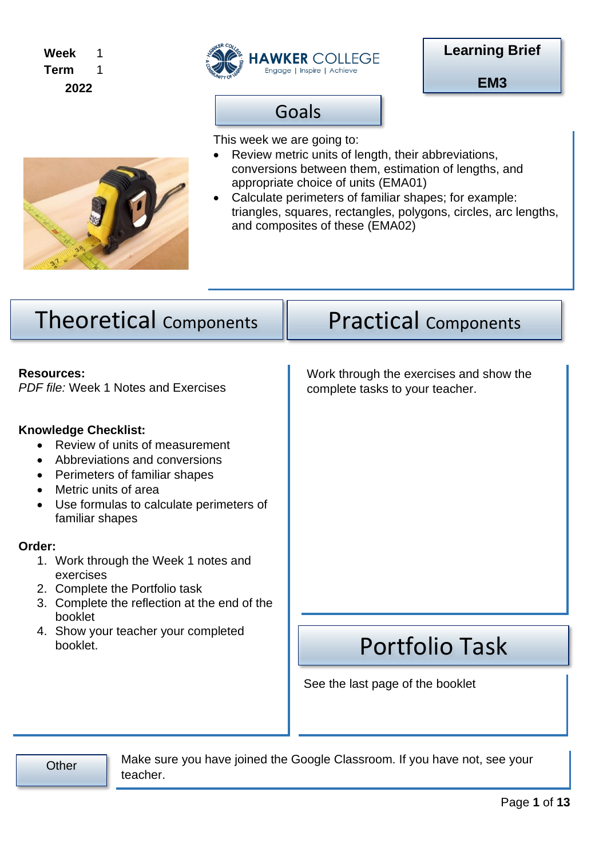#### **Week Term 2022** 1 1



Goals

**EM3**



teacher.

This week we are going to:

- Review metric units of length, their abbreviations, conversions between them, estimation of lengths, and appropriate choice of units (EMA01)
- Calculate perimeters of familiar shapes; for example: triangles, squares, rectangles, polygons, circles, arc lengths, and composites of these (EMA02)

| <b>Theoretical Components</b>                                                                                                                                                                                                                                                                                                                                                                                            | <b>Practical Components</b>                                                |  |  |  |  |
|--------------------------------------------------------------------------------------------------------------------------------------------------------------------------------------------------------------------------------------------------------------------------------------------------------------------------------------------------------------------------------------------------------------------------|----------------------------------------------------------------------------|--|--|--|--|
| <b>Resources:</b><br>PDF file: Week 1 Notes and Exercises                                                                                                                                                                                                                                                                                                                                                                | Work through the exercises and show the<br>complete tasks to your teacher. |  |  |  |  |
| <b>Knowledge Checklist:</b><br>Review of units of measurement<br>Abbreviations and conversions<br>Perimeters of familiar shapes<br>$\bullet$<br>Metric units of area<br>$\bullet$<br>Use formulas to calculate perimeters of<br>$\bullet$<br>familiar shapes<br>Order:<br>1. Work through the Week 1 notes and<br>exercises<br>2. Complete the Portfolio task<br>3. Complete the reflection at the end of the<br>booklet |                                                                            |  |  |  |  |
| 4. Show your teacher your completed<br>booklet.                                                                                                                                                                                                                                                                                                                                                                          | <b>Portfolio Task</b>                                                      |  |  |  |  |
|                                                                                                                                                                                                                                                                                                                                                                                                                          | See the last page of the booklet                                           |  |  |  |  |
| Make sure you have joined the Google Classroom. If you have not, see your<br>Other                                                                                                                                                                                                                                                                                                                                       |                                                                            |  |  |  |  |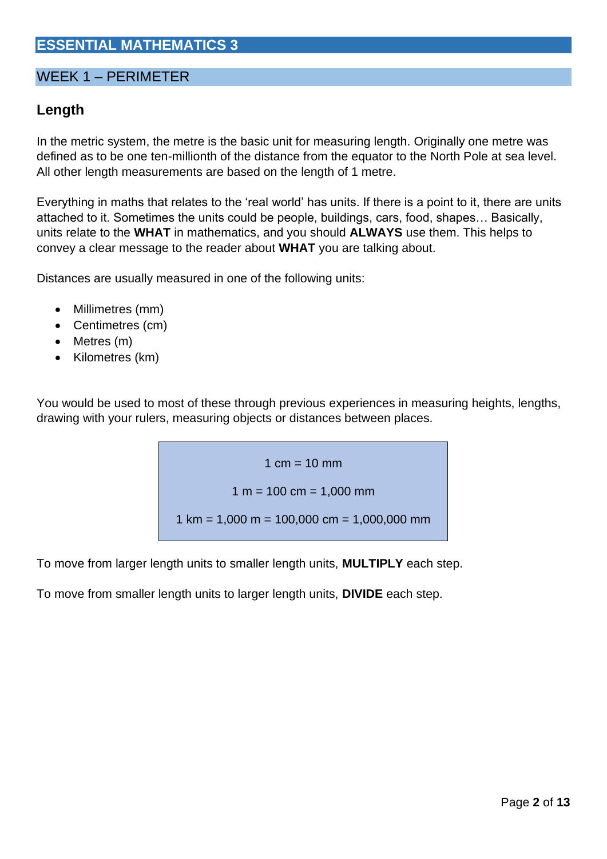# **ESSENTIAL MATHEMATICS 3**

### WEEK 1 – PERIMETER

# **Length**

In the metric system, the metre is the basic unit for measuring length. Originally one metre was defined as to be one ten-millionth of the distance from the equator to the North Pole at sea level. All other length measurements are based on the length of 1 metre.

Everything in maths that relates to the 'real world' has units. If there is a point to it, there are units attached to it. Sometimes the units could be people, buildings, cars, food, shapes… Basically, units relate to the **WHAT** in mathematics, and you should **ALWAYS** use them. This helps to convey a clear message to the reader about **WHAT** you are talking about.

Distances are usually measured in one of the following units:

- Millimetres (mm)
- Centimetres (cm)
- Metres (m)
- Kilometres (km)

You would be used to most of these through previous experiences in measuring heights, lengths, drawing with your rulers, measuring objects or distances between places.

> 1  $cm = 10$  mm  $1 m = 100 cm = 1,000 mm$  $1 \text{ km} = 1,000 \text{ m} = 100,000 \text{ cm} = 1,000,000 \text{ mm}$

To move from larger length units to smaller length units, **MULTIPLY** each step.

To move from smaller length units to larger length units, **DIVIDE** each step.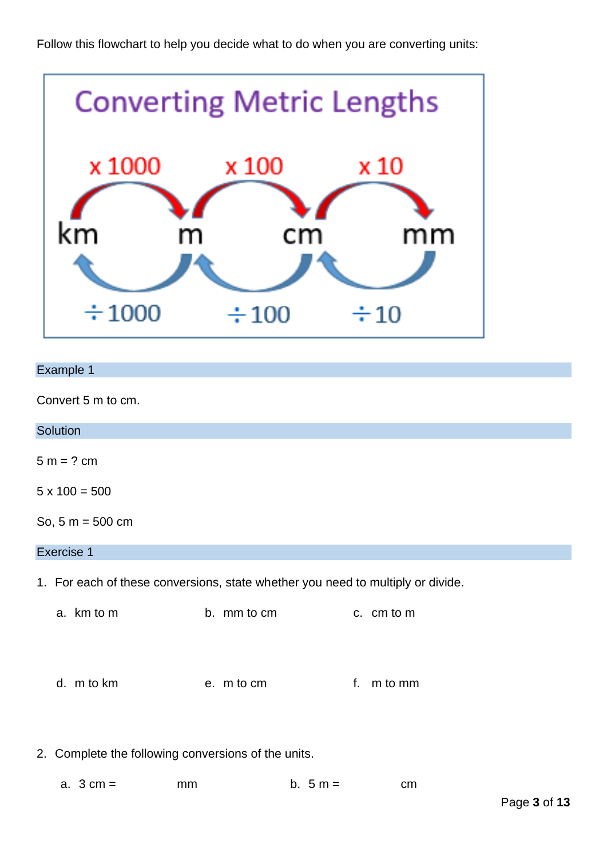

### Example 1

Convert 5 m to cm.

| Solution                                                                        |             |               |  |  |  |
|---------------------------------------------------------------------------------|-------------|---------------|--|--|--|
| $5 m = ? cm$                                                                    |             |               |  |  |  |
| $5 \times 100 = 500$                                                            |             |               |  |  |  |
| So, $5 m = 500 cm$                                                              |             |               |  |  |  |
| Exercise 1                                                                      |             |               |  |  |  |
| 1. For each of these conversions, state whether you need to multiply or divide. |             |               |  |  |  |
| a. km to m                                                                      | b. mm to cm | c. cm to m    |  |  |  |
| d. m to km                                                                      | e. m to cm  | m to mm<br>f. |  |  |  |

2. Complete the following conversions of the units.

|  | a. $3 \text{ cm} =$ | mm | b. $5 m =$ | cm |
|--|---------------------|----|------------|----|
|--|---------------------|----|------------|----|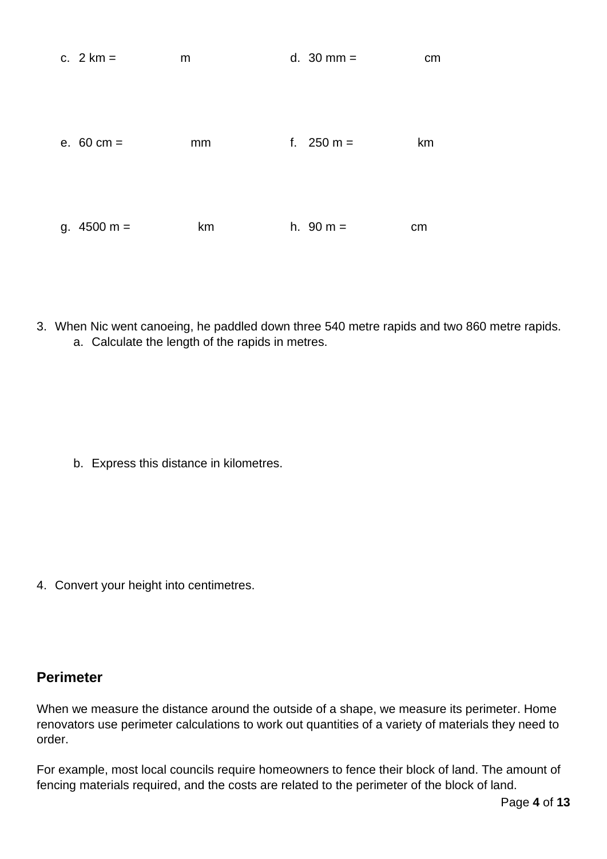| c. $2 km =$           | m  | d. $30 \text{ mm} =$ | cm |
|-----------------------|----|----------------------|----|
| e. $60 \text{ cm} =$  | mm | f. $250 m =$         | km |
| g. $4500 \text{ m} =$ | km | h. $90 m =$          | cm |

3. When Nic went canoeing, he paddled down three 540 metre rapids and two 860 metre rapids. a. Calculate the length of the rapids in metres.

b. Express this distance in kilometres.

4. Convert your height into centimetres.

## **Perimeter**

When we measure the distance around the outside of a shape, we measure its perimeter. Home renovators use perimeter calculations to work out quantities of a variety of materials they need to order.

For example, most local councils require homeowners to fence their block of land. The amount of fencing materials required, and the costs are related to the perimeter of the block of land.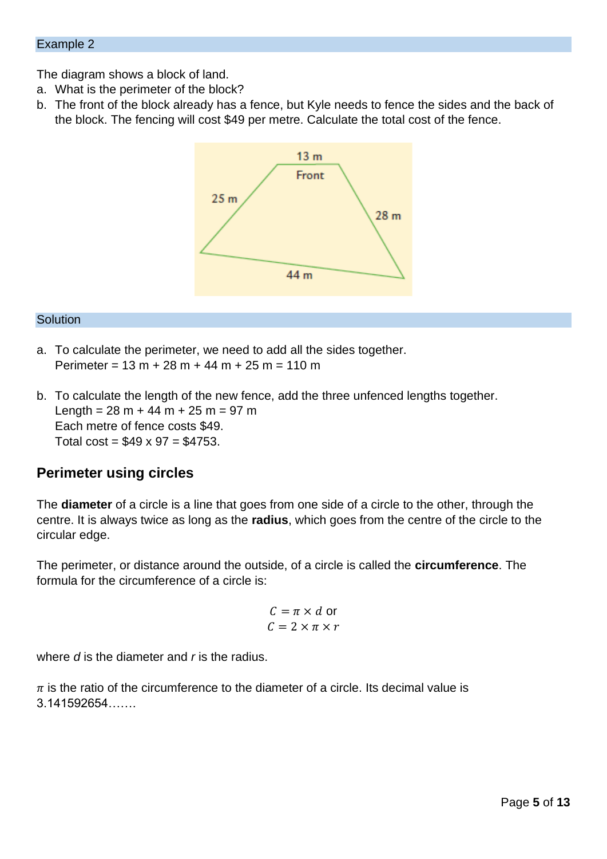The diagram shows a block of land.

- a. What is the perimeter of the block?
- b. The front of the block already has a fence, but Kyle needs to fence the sides and the back of the block. The fencing will cost \$49 per metre. Calculate the total cost of the fence.



#### **Solution**

- a. To calculate the perimeter, we need to add all the sides together. Perimeter =  $13 m + 28 m + 44 m + 25 m = 110 m$
- b. To calculate the length of the new fence, add the three unfenced lengths together. Length =  $28 m + 44 m + 25 m = 97 m$ Each metre of fence costs \$49. Total cost =  $$49 \times 97 = $4753$ .

### **Perimeter using circles**

The **diameter** of a circle is a line that goes from one side of a circle to the other, through the centre. It is always twice as long as the **radius**, which goes from the centre of the circle to the circular edge.

The perimeter, or distance around the outside, of a circle is called the **circumference**. The formula for the circumference of a circle is:

$$
C = \pi \times d \text{ or}
$$

$$
C = 2 \times \pi \times r
$$

where *d* is the diameter and *r* is the radius.

 $\pi$  is the ratio of the circumference to the diameter of a circle. Its decimal value is 3.141592654…….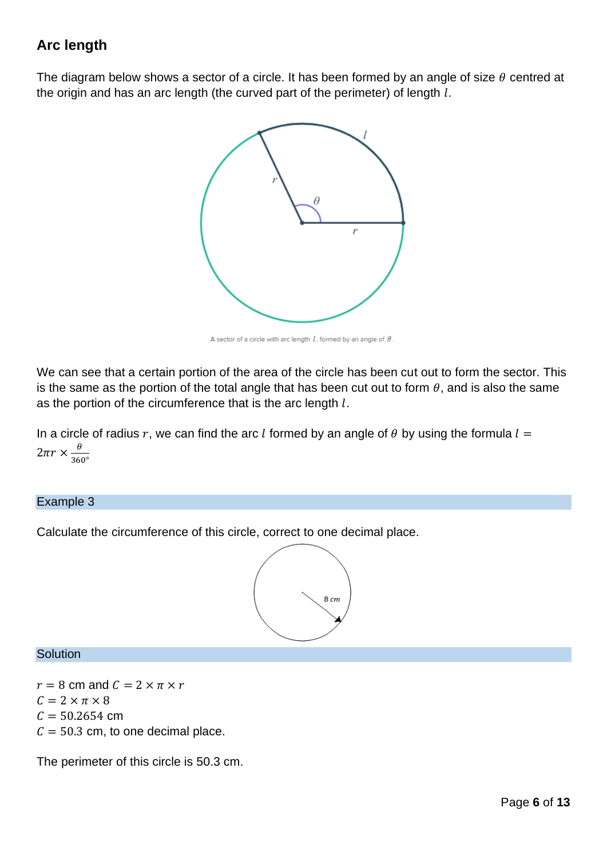# **Arc length**

The diagram below shows a sector of a circle. It has been formed by an angle of size  $\theta$  centred at the origin and has an arc length (the curved part of the perimeter) of length  $l$ .



A sector of a circle with arc length  $l$ , formed by an angle of  $\theta$ .

We can see that a certain portion of the area of the circle has been cut out to form the sector. This is the same as the portion of the total angle that has been cut out to form  $\theta$ , and is also the same as the portion of the circumference that is the arc length  $l$ .

In a circle of radius r, we can find the arc *l* formed by an angle of  $\theta$  by using the formula  $l =$  $2\pi r \times \frac{\theta}{\sqrt{2\pi}}$ 360°

#### Example 3

Calculate the circumference of this circle, correct to one decimal place.



### **Solution**

 $r = 8$  cm and  $C = 2 \times \pi \times r$  $C = 2 \times \pi \times 8$  $C = 50.2654$  cm  $C = 50.3$  cm, to one decimal place.

The perimeter of this circle is 50.3 cm.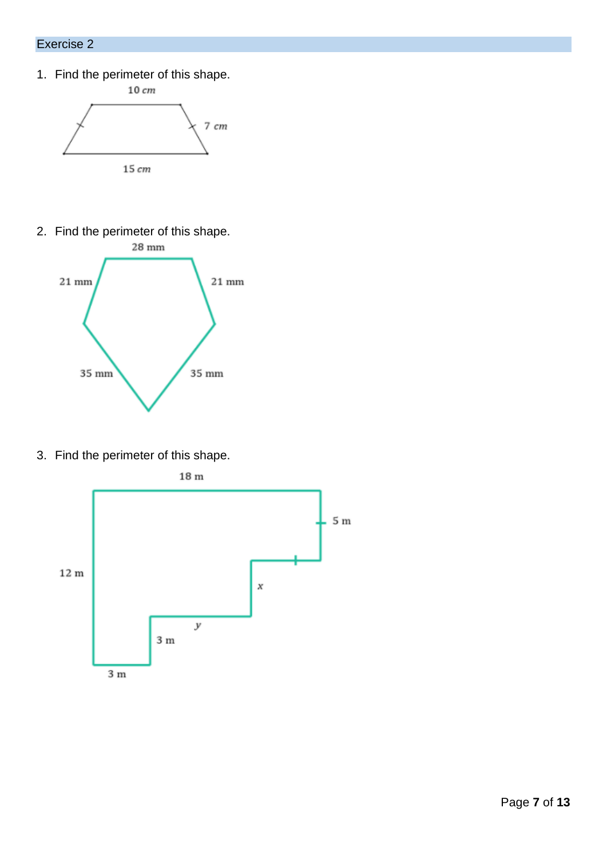### Exercise 2

1. Find the perimeter of this shape.



2. Find the perimeter of this shape.



3. Find the perimeter of this shape.

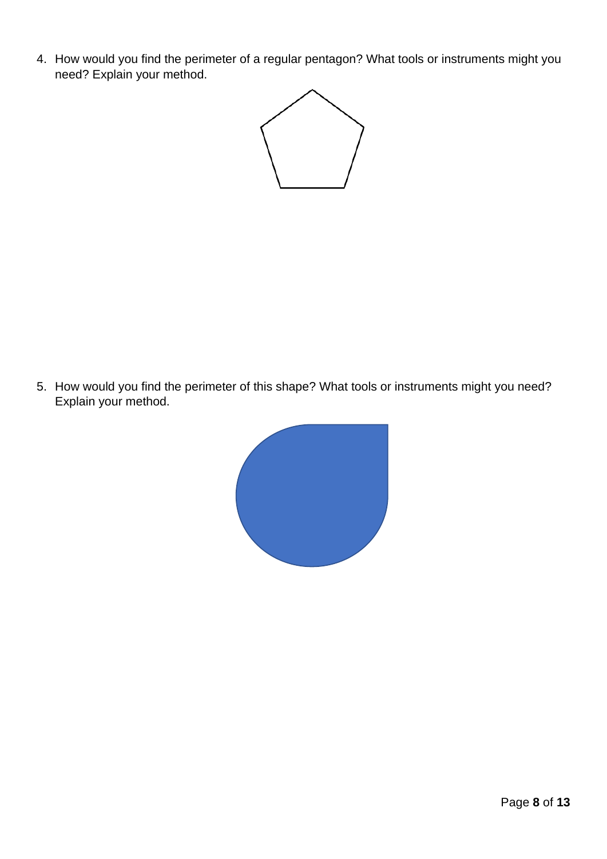4. How would you find the perimeter of a regular pentagon? What tools or instruments might you need? Explain your method.



5. How would you find the perimeter of this shape? What tools or instruments might you need? Explain your method.

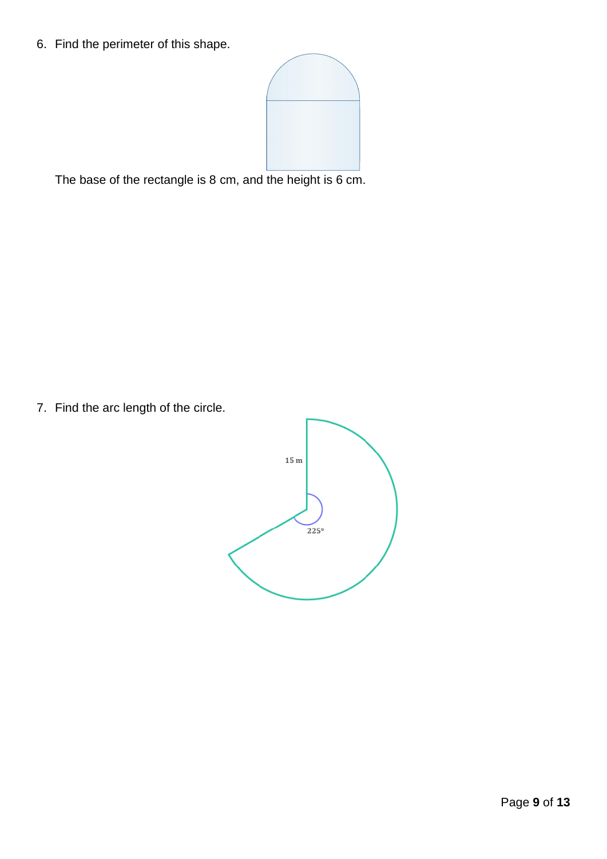6. Find the perimeter of this shape.



The base of the rectangle is 8 cm, and the height is 6 cm.

7. Find the arc length of the circle.

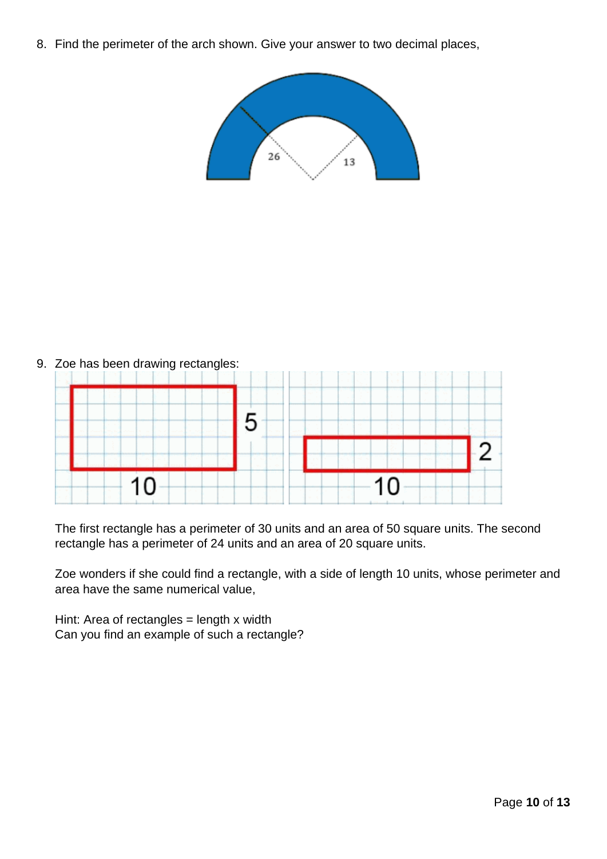8. Find the perimeter of the arch shown. Give your answer to two decimal places,





The first rectangle has a perimeter of 30 units and an area of 50 square units. The second rectangle has a perimeter of 24 units and an area of 20 square units.

Zoe wonders if she could find a rectangle, with a side of length 10 units, whose perimeter and area have the same numerical value,

Hint: Area of rectangles = length x width Can you find an example of such a rectangle?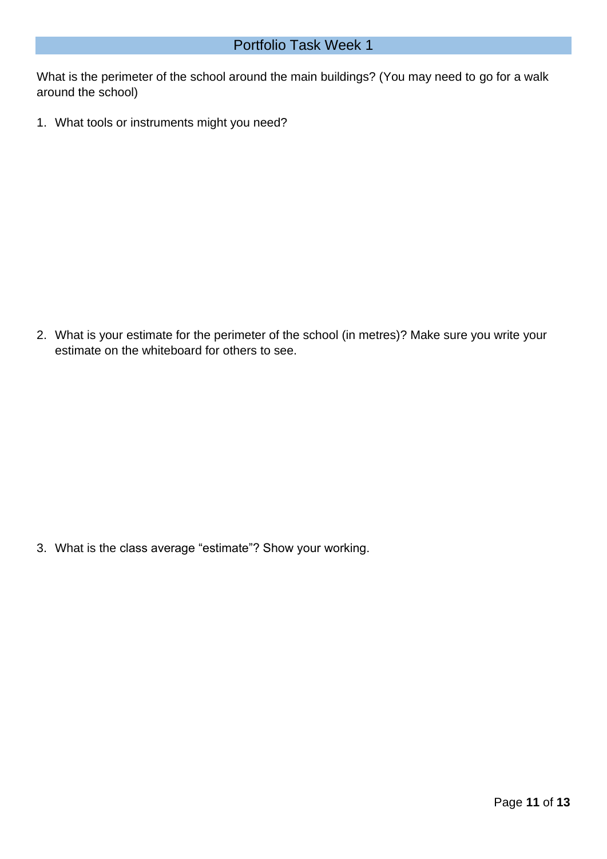What is the perimeter of the school around the main buildings? (You may need to go for a walk around the school)

1. What tools or instruments might you need?

2. What is your estimate for the perimeter of the school (in metres)? Make sure you write your estimate on the whiteboard for others to see.

3. What is the class average "estimate"? Show your working.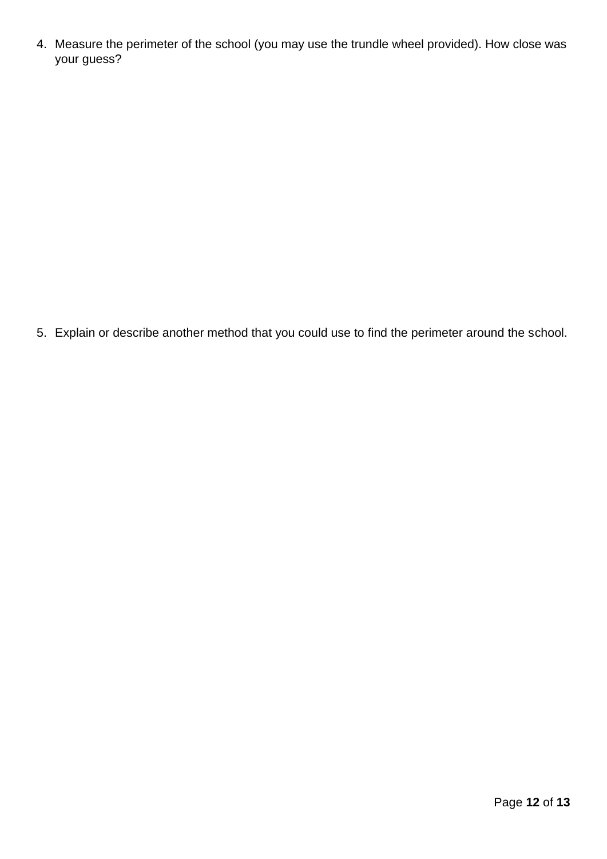4. Measure the perimeter of the school (you may use the trundle wheel provided). How close was your guess?

5. Explain or describe another method that you could use to find the perimeter around the school.